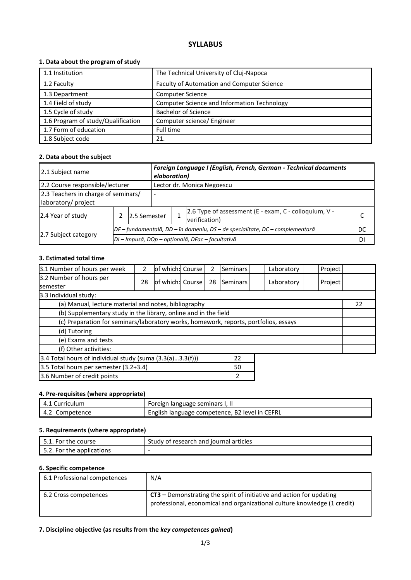## **SYLLABUS**

## **1. Data about the program of study**

| 1.1 Institution                    | The Technical University of Cluj-Napoca            |
|------------------------------------|----------------------------------------------------|
| 1.2 Faculty                        | Faculty of Automation and Computer Science         |
| 1.3 Department                     | <b>Computer Science</b>                            |
| 1.4 Field of study                 | <b>Computer Science and Information Technology</b> |
| 1.5 Cycle of study                 | <b>Bachelor of Science</b>                         |
| 1.6 Program of study/Qualification | Computer science/ Engineer                         |
| 1.7 Form of education              | Full time                                          |
| 1.8 Subject code                   | 21.                                                |

## **2. Data about the subject**

| 2.1 Subject name                                           |  |                                                                              | Foreign Language I (English, French, German - Technical documents<br>elaboration) |  |    |  |  |
|------------------------------------------------------------|--|------------------------------------------------------------------------------|-----------------------------------------------------------------------------------|--|----|--|--|
| 2.2 Course responsible/lecturer                            |  |                                                                              | Lector dr. Monica Negoescu                                                        |  |    |  |  |
| 2.3 Teachers in charge of seminars/<br>laboratory/ project |  |                                                                              |                                                                                   |  |    |  |  |
| 2.4 Year of study                                          |  | 2.5 Semester                                                                 | 2.6 Type of assessment (E - exam, C - colloquium, V -<br>verification)            |  |    |  |  |
|                                                            |  | DF – fundamentală, DD – în domeniu, DS – de specialitate, DC – complementară |                                                                                   |  | DC |  |  |
| 2.7 Subject category                                       |  | DI - Impusă, DOp - opțională, DFac - facultativă                             |                                                                                   |  |    |  |  |

## **3. Estimated total time**

| 3.1 Number of hours per week                                                         | 2  | of which: Course |  | 2  | <b>Seminars</b> |  | Laboratory | Project |    |
|--------------------------------------------------------------------------------------|----|------------------|--|----|-----------------|--|------------|---------|----|
| 3.2 Number of hours per                                                              | 28 | of which: Course |  | 28 | <b>Seminars</b> |  | Laboratory |         |    |
| <b>semester</b>                                                                      |    |                  |  |    |                 |  |            | Project |    |
| 3.3 Individual study:                                                                |    |                  |  |    |                 |  |            |         |    |
| (a) Manual, lecture material and notes, bibliography                                 |    |                  |  |    |                 |  |            |         | 22 |
| (b) Supplementary study in the library, online and in the field                      |    |                  |  |    |                 |  |            |         |    |
| (c) Preparation for seminars/laboratory works, homework, reports, portfolios, essays |    |                  |  |    |                 |  |            |         |    |
| (d) Tutoring                                                                         |    |                  |  |    |                 |  |            |         |    |
| (e) Exams and tests                                                                  |    |                  |  |    |                 |  |            |         |    |
| (f) Other activities:                                                                |    |                  |  |    |                 |  |            |         |    |
| 3.4 Total hours of individual study (suma (3.3(a)3.3(f)))<br>22                      |    |                  |  |    |                 |  |            |         |    |
| 3.5 Total hours per semester (3.2+3.4)<br>50                                         |    |                  |  |    |                 |  |            |         |    |
| 3.6 Number of credit points<br>2                                                     |    |                  |  |    |                 |  |            |         |    |

#### **4. Pre-requisites (where appropriate)**

| 4.1 Curriculum | Foreign language seminars I, II                |
|----------------|------------------------------------------------|
| 4.2 Competence | English language competence, B2 level in CEFRL |

## **5. Requirements (where appropriate)**

| $-5.1.$<br>. For the course | ! iournal articles<br>Study of<br>research and |
|-----------------------------|------------------------------------------------|
| 5.2. For the applications   | -                                              |

#### **6. Specific competence**

| 6.1 Professional competences | N/A                                                                                                                                              |
|------------------------------|--------------------------------------------------------------------------------------------------------------------------------------------------|
| 6.2 Cross competences        | CT3 – Demonstrating the spirit of initiative and action for updating<br>professional, economical and organizational culture knowledge (1 credit) |

#### **7. Discipline objective (as results from the** *key competences gained***)**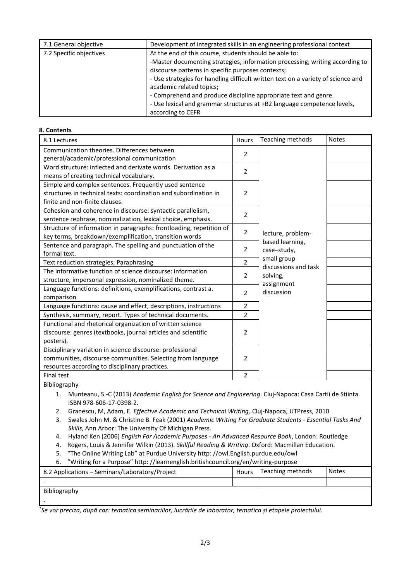| 7.1 General objective   | Development of integrated skills in an engineering professional context          |
|-------------------------|----------------------------------------------------------------------------------|
| 7.2 Specific objectives | At the end of this course, students should be able to:                           |
|                         | -Master documenting strategies, information processing; writing according to     |
|                         | discourse patterns in specific purposes contexts;                                |
|                         | - Use strategies for handling difficult written text on a variety of science and |
|                         | academic related topics;                                                         |
|                         | - Comprehend and produce discipline appropriate text and genre.                  |
|                         | - Use lexical and grammar structures at +B2 language competence levels,          |
|                         | according to CEFR                                                                |

#### **8. Contents**

| 8.1 Lectures                                                        | Hours          | Teaching methods           | <b>Notes</b> |
|---------------------------------------------------------------------|----------------|----------------------------|--------------|
| Communication theories. Differences between                         | $\overline{2}$ |                            |              |
| general/academic/professional communication                         |                |                            |              |
| Word structure: inflected and derivate words. Derivation as a       | 2              |                            |              |
| means of creating technical vocabulary.                             |                |                            |              |
| Simple and complex sentences. Frequently used sentence              |                |                            |              |
| structures in technical texts: coordination and subordination in    | 2              |                            |              |
| finite and non-finite clauses.                                      |                |                            |              |
| Cohesion and coherence in discourse: syntactic parallelism,         | 2              |                            |              |
| sentence rephrase, nominalization, lexical choice, emphasis.        |                |                            |              |
| Structure of information in paragraphs: frontloading, repetition of | $\overline{2}$ |                            |              |
| key terms, breakdown/exemplification, transition words              |                | lecture, problem-          |              |
| Sentence and paragraph. The spelling and punctuation of the         | 2              | based learning,            |              |
| formal text.                                                        |                | case-study,<br>small group |              |
| Text reduction strategies; Paraphrasing                             | $\overline{2}$ | discussions and task       |              |
| The informative function of science discourse: information          | $\overline{2}$ | solving,                   |              |
| structure, impersonal expression, nominalized theme.                |                | assignment                 |              |
| Language functions: definitions, exemplifications, contrast a.      | $\overline{2}$ | discussion                 |              |
| comparison                                                          |                |                            |              |
| Language functions: cause and effect, descriptions, instructions    | $\overline{2}$ |                            |              |
| Synthesis, summary, report. Types of technical documents.           | $\overline{2}$ |                            |              |
| Functional and rhetorical organization of written science           |                |                            |              |
| discourse: genres (textbooks, journal articles and scientific       | 2              |                            |              |
| posters).                                                           |                |                            |              |
| Disciplinary variation in science discourse: professional           |                |                            |              |
| communities, discourse communities. Selecting from language         | 2              |                            |              |
| resources according to disciplinary practices.                      |                |                            |              |
| <b>Final test</b>                                                   | $\overline{2}$ |                            |              |

Bibliography

- 1. Munteanu, S.-C (2013) *Academic English for Science and Engineering*. Cluj-Napoca: Casa Cartii de Stiinta. ISBN 978-606-17-0398-2.
- 2. Granescu, M, Adam, E. *Effective Academic and Technical Writing,* Cluj-Napoca, UTPress, 2010
- 3. Swales John M. & Christine B. Feak (2001) *Academic Writing For Graduate Students - Essential Tasks And Skills*, Ann Arbor: The University Of Michigan Press.
- 4. Hyland Ken (2006) *English For Academic Purposes - An Advanced Resource Book*, London: Routledge
- 4. Rogers, Louis & Jennifer Wilkin (2013). *Skillful Reading & Writing*. Oxford: Macmillan Education.
- 5. "The Online Writing Lab" at Purdue University http: //owl.English.purdue.edu/owl
- 6. "Writing for a Purpose" http: //learnenglish.britishcouncil.org/en/writing-purpose

| 8.2 Applications - Seminars/Laboratory/Project | Hours | Teaching methods | <b>Notes</b> |
|------------------------------------------------|-------|------------------|--------------|
|                                                |       |                  |              |
| Bibliography                                   |       |                  |              |
|                                                |       |                  |              |

*\* Se vor preciza, după caz: tematica seminariilor, lucrările de laborator, tematica și etapele proiectului.*